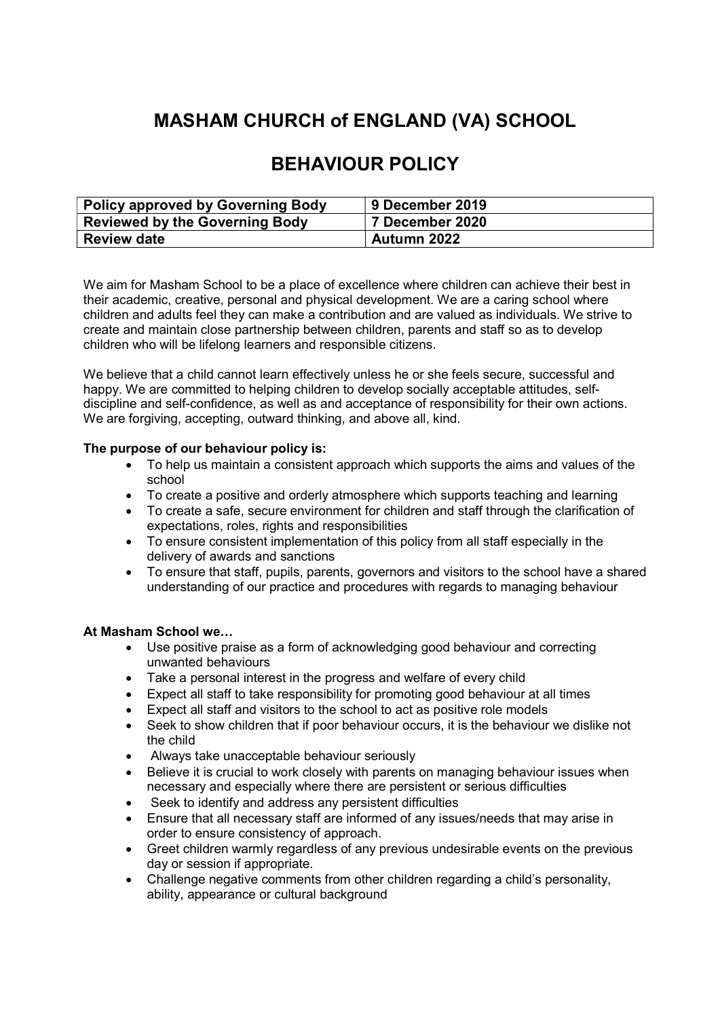# MASHAM CHURCH of ENGLAND (VA) SCHOOL

# BEHAVIOUR POLICY

| <b>Policy approved by Governing Body</b> | 9 December 2019 |
|------------------------------------------|-----------------|
| <b>Reviewed by the Governing Body</b>    | 7 December 2020 |
| <b>Review date</b>                       | Autumn 2022     |

We aim for Masham School to be a place of excellence where children can achieve their best in their academic, creative, personal and physical development. We are a caring school where children and adults feel they can make a contribution and are valued as individuals. We strive to create and maintain close partnership between children, parents and staff so as to develop children who will be lifelong learners and responsible citizens.

We believe that a child cannot learn effectively unless he or she feels secure, successful and happy. We are committed to helping children to develop socially acceptable attitudes, selfdiscipline and self-confidence, as well as and acceptance of responsibility for their own actions. We are forgiving, accepting, outward thinking, and above all, kind.

#### The purpose of our behaviour policy is:

- To help us maintain a consistent approach which supports the aims and values of the school
- To create a positive and orderly atmosphere which supports teaching and learning
- To create a safe, secure environment for children and staff through the clarification of expectations, roles, rights and responsibilities
- To ensure consistent implementation of this policy from all staff especially in the delivery of awards and sanctions
- To ensure that staff, pupils, parents, governors and visitors to the school have a shared understanding of our practice and procedures with regards to managing behaviour

#### At Masham School we…

- Use positive praise as a form of acknowledging good behaviour and correcting unwanted behaviours
- Take a personal interest in the progress and welfare of every child
- Expect all staff to take responsibility for promoting good behaviour at all times
- Expect all staff and visitors to the school to act as positive role models
- Seek to show children that if poor behaviour occurs, it is the behaviour we dislike not the child
- Always take unacceptable behaviour seriously
- Believe it is crucial to work closely with parents on managing behaviour issues when necessary and especially where there are persistent or serious difficulties
- Seek to identify and address any persistent difficulties
- Ensure that all necessary staff are informed of any issues/needs that may arise in order to ensure consistency of approach.
- Greet children warmly regardless of any previous undesirable events on the previous day or session if appropriate.
- Challenge negative comments from other children regarding a child's personality, ability, appearance or cultural background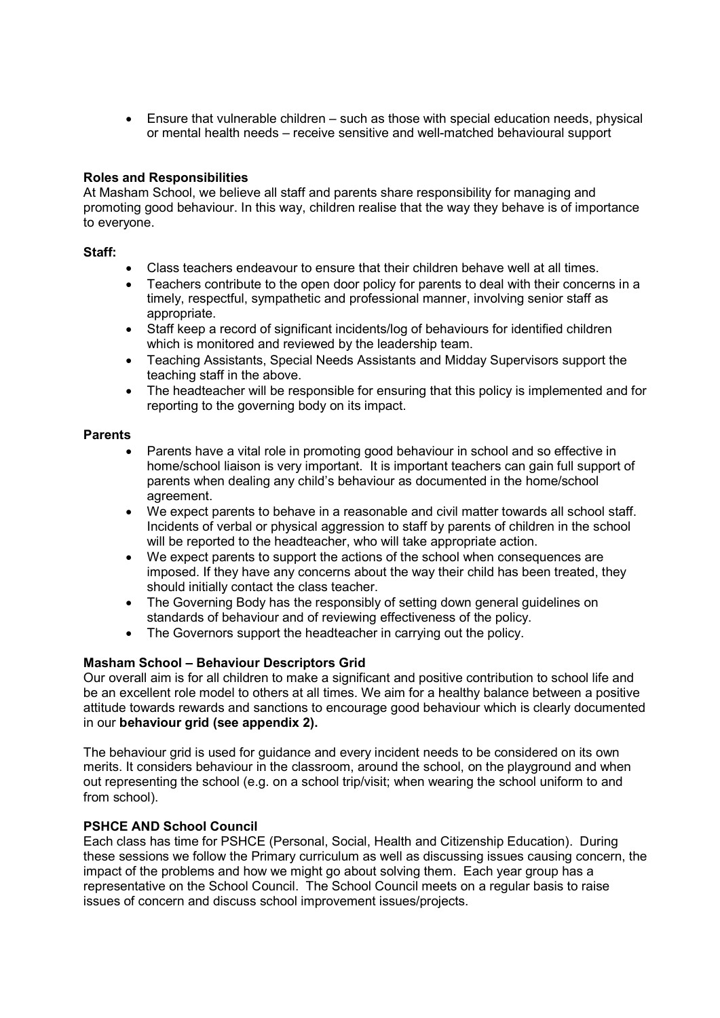Ensure that vulnerable children – such as those with special education needs, physical or mental health needs – receive sensitive and well-matched behavioural support

#### Roles and Responsibilities

At Masham School, we believe all staff and parents share responsibility for managing and promoting good behaviour. In this way, children realise that the way they behave is of importance to everyone.

#### Staff:

- Class teachers endeavour to ensure that their children behave well at all times.
- Teachers contribute to the open door policy for parents to deal with their concerns in a timely, respectful, sympathetic and professional manner, involving senior staff as appropriate.
- Staff keep a record of significant incidents/log of behaviours for identified children which is monitored and reviewed by the leadership team.
- Teaching Assistants, Special Needs Assistants and Midday Supervisors support the teaching staff in the above.
- The headteacher will be responsible for ensuring that this policy is implemented and for reporting to the governing body on its impact.

#### Parents

- Parents have a vital role in promoting good behaviour in school and so effective in home/school liaison is very important. It is important teachers can gain full support of parents when dealing any child's behaviour as documented in the home/school agreement.
- We expect parents to behave in a reasonable and civil matter towards all school staff. Incidents of verbal or physical aggression to staff by parents of children in the school will be reported to the headteacher, who will take appropriate action.
- We expect parents to support the actions of the school when consequences are imposed. If they have any concerns about the way their child has been treated, they should initially contact the class teacher.
- The Governing Body has the responsibly of setting down general guidelines on standards of behaviour and of reviewing effectiveness of the policy.
- The Governors support the headteacher in carrying out the policy.

#### Masham School – Behaviour Descriptors Grid

Our overall aim is for all children to make a significant and positive contribution to school life and be an excellent role model to others at all times. We aim for a healthy balance between a positive attitude towards rewards and sanctions to encourage good behaviour which is clearly documented in our behaviour grid (see appendix 2).

The behaviour grid is used for guidance and every incident needs to be considered on its own merits. It considers behaviour in the classroom, around the school, on the playground and when out representing the school (e.g. on a school trip/visit; when wearing the school uniform to and from school).

#### PSHCE AND School Council

Each class has time for PSHCE (Personal, Social, Health and Citizenship Education). During these sessions we follow the Primary curriculum as well as discussing issues causing concern, the impact of the problems and how we might go about solving them. Each year group has a representative on the School Council. The School Council meets on a regular basis to raise issues of concern and discuss school improvement issues/projects.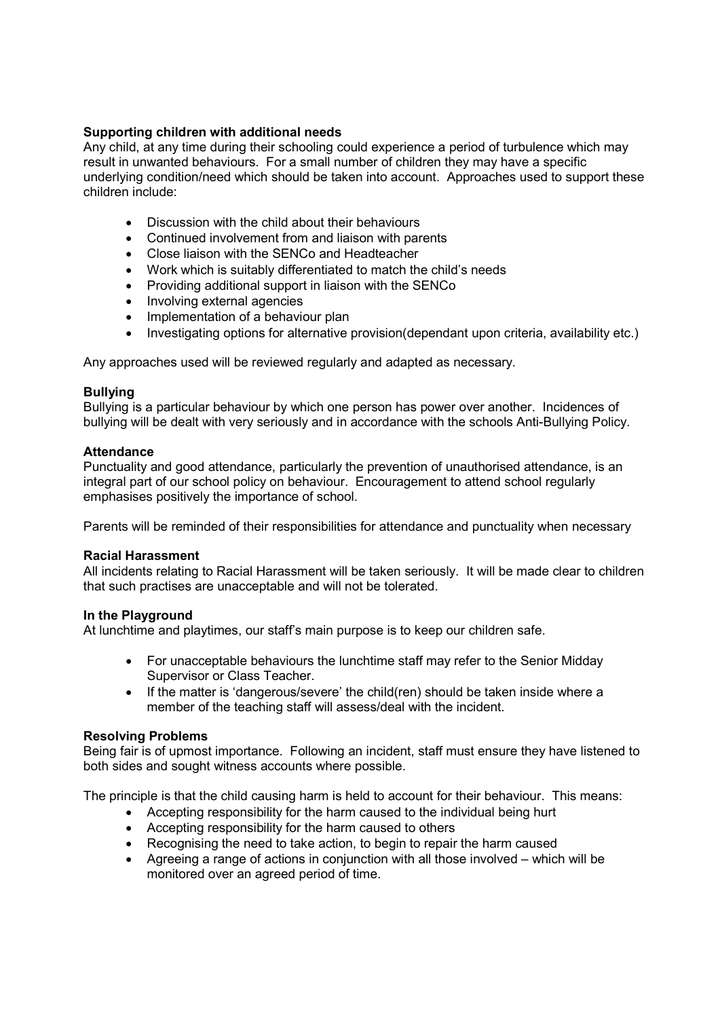#### Supporting children with additional needs

Any child, at any time during their schooling could experience a period of turbulence which may result in unwanted behaviours. For a small number of children they may have a specific underlying condition/need which should be taken into account. Approaches used to support these children include:

- Discussion with the child about their behaviours
- Continued involvement from and liaison with parents
- Close liaison with the SENCo and Headteacher
- Work which is suitably differentiated to match the child's needs
- Providing additional support in liaison with the SENCo
- Involving external agencies
- Implementation of a behaviour plan
- Investigating options for alternative provision(dependant upon criteria, availability etc.)

Any approaches used will be reviewed regularly and adapted as necessary.

#### Bullying

Bullying is a particular behaviour by which one person has power over another. Incidences of bullying will be dealt with very seriously and in accordance with the schools Anti-Bullying Policy.

#### **Attendance**

Punctuality and good attendance, particularly the prevention of unauthorised attendance, is an integral part of our school policy on behaviour. Encouragement to attend school regularly emphasises positively the importance of school.

Parents will be reminded of their responsibilities for attendance and punctuality when necessary

#### Racial Harassment

All incidents relating to Racial Harassment will be taken seriously. It will be made clear to children that such practises are unacceptable and will not be tolerated.

#### In the Playground

At lunchtime and playtimes, our staff's main purpose is to keep our children safe.

- For unacceptable behaviours the lunchtime staff may refer to the Senior Midday Supervisor or Class Teacher.
- If the matter is 'dangerous/severe' the child(ren) should be taken inside where a member of the teaching staff will assess/deal with the incident.

#### Resolving Problems

Being fair is of upmost importance. Following an incident, staff must ensure they have listened to both sides and sought witness accounts where possible.

The principle is that the child causing harm is held to account for their behaviour. This means:

- Accepting responsibility for the harm caused to the individual being hurt
- Accepting responsibility for the harm caused to others
- Recognising the need to take action, to begin to repair the harm caused
- Agreeing a range of actions in conjunction with all those involved which will be monitored over an agreed period of time.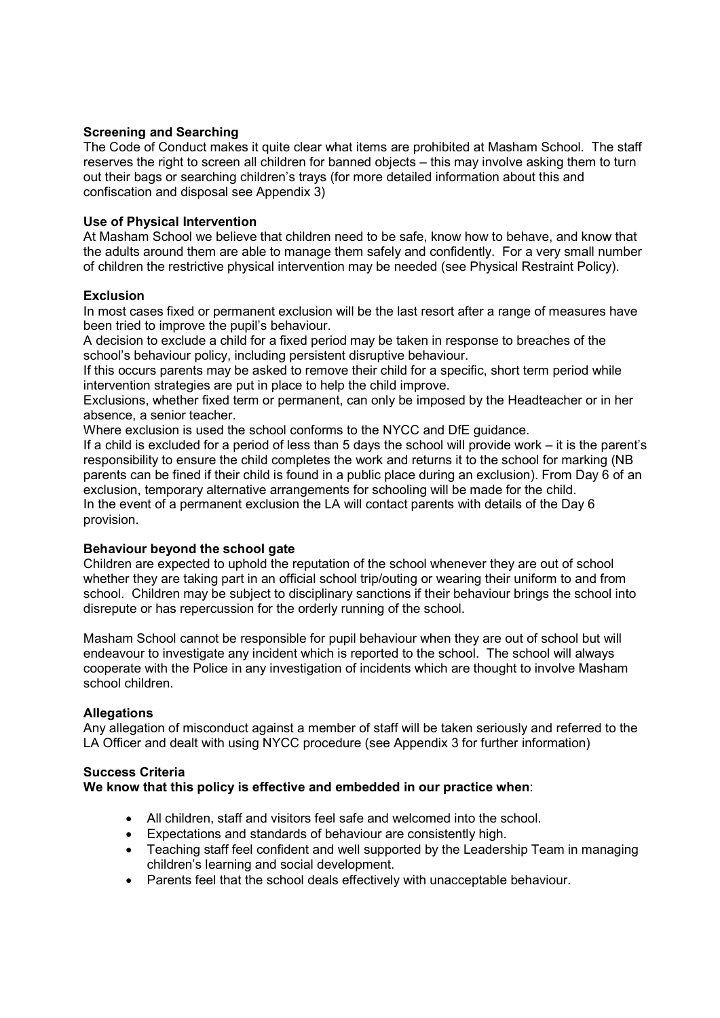#### Screening and Searching

The Code of Conduct makes it quite clear what items are prohibited at Masham School. The staff reserves the right to screen all children for banned objects – this may involve asking them to turn out their bags or searching children's trays (for more detailed information about this and confiscation and disposal see Appendix 3)

#### Use of Physical Intervention

At Masham School we believe that children need to be safe, know how to behave, and know that the adults around them are able to manage them safely and confidently. For a very small number of children the restrictive physical intervention may be needed (see Physical Restraint Policy).

#### **Exclusion**

In most cases fixed or permanent exclusion will be the last resort after a range of measures have been tried to improve the pupil's behaviour.

A decision to exclude a child for a fixed period may be taken in response to breaches of the school's behaviour policy, including persistent disruptive behaviour.

If this occurs parents may be asked to remove their child for a specific, short term period while intervention strategies are put in place to help the child improve.

Exclusions, whether fixed term or permanent, can only be imposed by the Headteacher or in her absence, a senior teacher.

Where exclusion is used the school conforms to the NYCC and DfE guidance.

If a child is excluded for a period of less than 5 days the school will provide work – it is the parent's responsibility to ensure the child completes the work and returns it to the school for marking (NB parents can be fined if their child is found in a public place during an exclusion). From Day 6 of an exclusion, temporary alternative arrangements for schooling will be made for the child. In the event of a permanent exclusion the LA will contact parents with details of the Day 6 provision.

#### Behaviour beyond the school gate

Children are expected to uphold the reputation of the school whenever they are out of school whether they are taking part in an official school trip/outing or wearing their uniform to and from school. Children may be subject to disciplinary sanctions if their behaviour brings the school into disrepute or has repercussion for the orderly running of the school.

Masham School cannot be responsible for pupil behaviour when they are out of school but will endeavour to investigate any incident which is reported to the school. The school will always cooperate with the Police in any investigation of incidents which are thought to involve Masham school children.

#### **Allegations**

Any allegation of misconduct against a member of staff will be taken seriously and referred to the LA Officer and dealt with using NYCC procedure (see Appendix 3 for further information)

#### Success Criteria

#### We know that this policy is effective and embedded in our practice when:

- All children, staff and visitors feel safe and welcomed into the school.
- Expectations and standards of behaviour are consistently high.
- Teaching staff feel confident and well supported by the Leadership Team in managing children's learning and social development.
- Parents feel that the school deals effectively with unacceptable behaviour.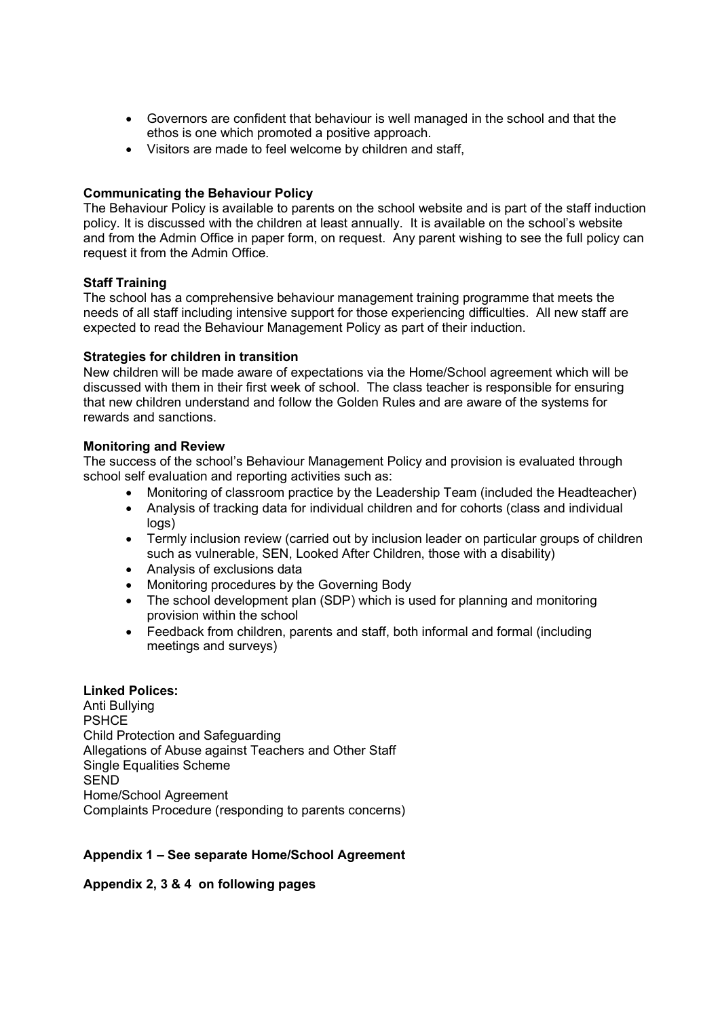- Governors are confident that behaviour is well managed in the school and that the ethos is one which promoted a positive approach.
- Visitors are made to feel welcome by children and staff,

#### Communicating the Behaviour Policy

The Behaviour Policy is available to parents on the school website and is part of the staff induction policy. It is discussed with the children at least annually. It is available on the school's website and from the Admin Office in paper form, on request. Any parent wishing to see the full policy can request it from the Admin Office.

#### Staff Training

The school has a comprehensive behaviour management training programme that meets the needs of all staff including intensive support for those experiencing difficulties. All new staff are expected to read the Behaviour Management Policy as part of their induction.

#### Strategies for children in transition

New children will be made aware of expectations via the Home/School agreement which will be discussed with them in their first week of school. The class teacher is responsible for ensuring that new children understand and follow the Golden Rules and are aware of the systems for rewards and sanctions.

#### Monitoring and Review

The success of the school's Behaviour Management Policy and provision is evaluated through school self evaluation and reporting activities such as:

- Monitoring of classroom practice by the Leadership Team (included the Headteacher)
- Analysis of tracking data for individual children and for cohorts (class and individual logs)
- Termly inclusion review (carried out by inclusion leader on particular groups of children such as vulnerable, SEN, Looked After Children, those with a disability)
- Analysis of exclusions data
- Monitoring procedures by the Governing Body
- The school development plan (SDP) which is used for planning and monitoring provision within the school
- Feedback from children, parents and staff, both informal and formal (including meetings and surveys)

#### Linked Polices:

Anti Bullying **PSHCE** Child Protection and Safeguarding Allegations of Abuse against Teachers and Other Staff Single Equalities Scheme **SEND** Home/School Agreement Complaints Procedure (responding to parents concerns)

#### Appendix 1 – See separate Home/School Agreement

#### Appendix 2, 3 & 4 on following pages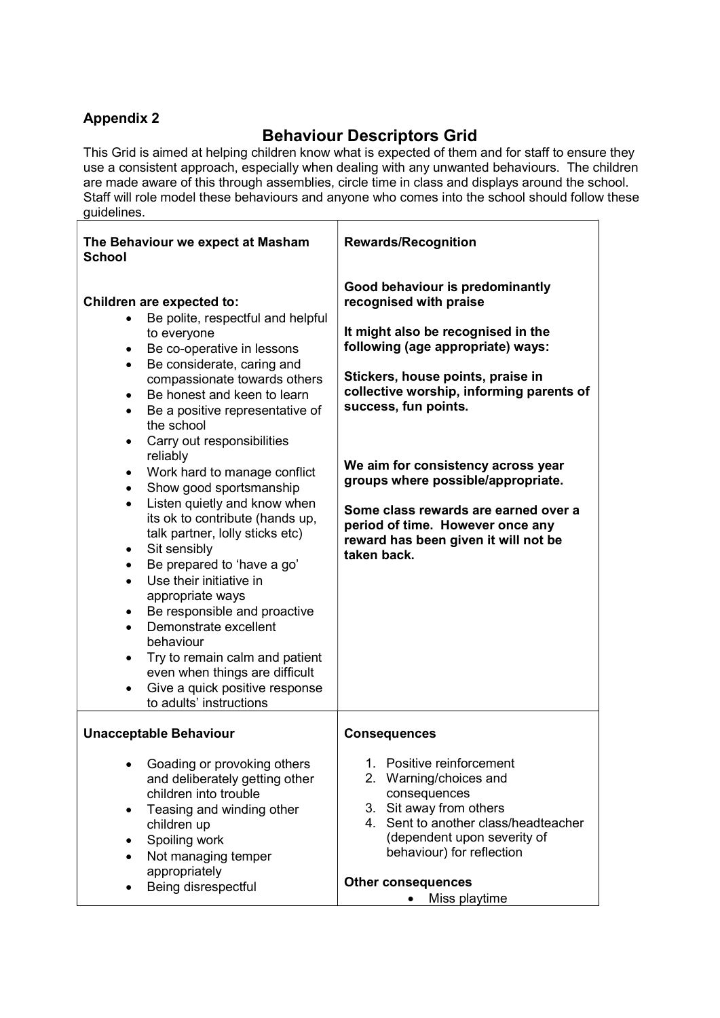### Appendix 2

# Behaviour Descriptors Grid

This Grid is aimed at helping children know what is expected of them and for staff to ensure they use a consistent approach, especially when dealing with any unwanted behaviours. The children are made aware of this through assemblies, circle time in class and displays around the school. Staff will role model these behaviours and anyone who comes into the school should follow these guidelines.

| The Behaviour we expect at Masham<br><b>School</b>                                                                                                                                                                                                                                                                                                                                                                                                                                                                                                                                                                                                                                                                                                                                                                                                                                                                                                     | <b>Rewards/Recognition</b>                                                                                                                                                                                                                                                                                                                                                                                                                                   |
|--------------------------------------------------------------------------------------------------------------------------------------------------------------------------------------------------------------------------------------------------------------------------------------------------------------------------------------------------------------------------------------------------------------------------------------------------------------------------------------------------------------------------------------------------------------------------------------------------------------------------------------------------------------------------------------------------------------------------------------------------------------------------------------------------------------------------------------------------------------------------------------------------------------------------------------------------------|--------------------------------------------------------------------------------------------------------------------------------------------------------------------------------------------------------------------------------------------------------------------------------------------------------------------------------------------------------------------------------------------------------------------------------------------------------------|
| Children are expected to:<br>Be polite, respectful and helpful<br>to everyone<br>Be co-operative in lessons<br>٠<br>Be considerate, caring and<br>$\bullet$<br>compassionate towards others<br>Be honest and keen to learn<br>$\bullet$<br>Be a positive representative of<br>$\bullet$<br>the school<br>Carry out responsibilities<br>$\bullet$<br>reliably<br>Work hard to manage conflict<br>$\bullet$<br>Show good sportsmanship<br>$\bullet$<br>Listen quietly and know when<br>$\bullet$<br>its ok to contribute (hands up,<br>talk partner, lolly sticks etc)<br>Sit sensibly<br>$\bullet$<br>Be prepared to 'have a go'<br>$\bullet$<br>Use their initiative in<br>$\bullet$<br>appropriate ways<br>Be responsible and proactive<br>$\bullet$<br>Demonstrate excellent<br>$\bullet$<br>behaviour<br>Try to remain calm and patient<br>$\bullet$<br>even when things are difficult<br>Give a quick positive response<br>to adults' instructions | Good behaviour is predominantly<br>recognised with praise<br>It might also be recognised in the<br>following (age appropriate) ways:<br>Stickers, house points, praise in<br>collective worship, informing parents of<br>success, fun points.<br>We aim for consistency across year<br>groups where possible/appropriate.<br>Some class rewards are earned over a<br>period of time. However once any<br>reward has been given it will not be<br>taken back. |
| <b>Unacceptable Behaviour</b>                                                                                                                                                                                                                                                                                                                                                                                                                                                                                                                                                                                                                                                                                                                                                                                                                                                                                                                          | <b>Consequences</b>                                                                                                                                                                                                                                                                                                                                                                                                                                          |
| • Goading or provoking others<br>and deliberately getting other<br>children into trouble<br>Teasing and winding other<br>$\bullet$<br>children up<br>Spoiling work<br>Not managing temper<br>$\bullet$<br>appropriately<br>Being disrespectful                                                                                                                                                                                                                                                                                                                                                                                                                                                                                                                                                                                                                                                                                                         | 1. Positive reinforcement<br>2. Warning/choices and<br>consequences<br>3. Sit away from others<br>4. Sent to another class/headteacher<br>(dependent upon severity of<br>behaviour) for reflection<br><b>Other consequences</b><br>Miss playtime<br>$\bullet$                                                                                                                                                                                                |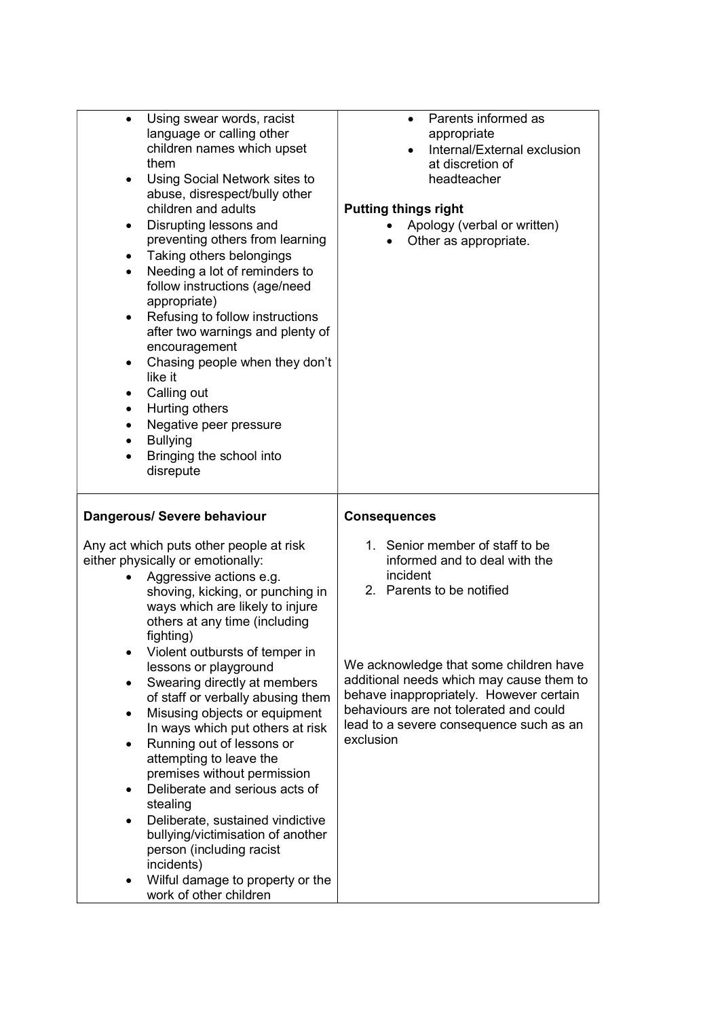| Using swear words, racist<br>$\bullet$<br>language or calling other<br>children names which upset<br>them<br>Using Social Network sites to<br>$\bullet$<br>abuse, disrespect/bully other<br>children and adults<br>Disrupting lessons and<br>$\bullet$<br>preventing others from learning<br>Taking others belongings<br>٠<br>Needing a lot of reminders to<br>$\bullet$<br>follow instructions (age/need<br>appropriate)<br>Refusing to follow instructions<br>$\bullet$<br>after two warnings and plenty of<br>encouragement<br>Chasing people when they don't<br>$\bullet$<br>like it<br>Calling out<br>٠<br>Hurting others<br>$\bullet$<br>Negative peer pressure<br>$\bullet$<br><b>Bullying</b><br>$\bullet$<br>Bringing the school into<br>$\bullet$<br>disrepute                                                              | Parents informed as<br>$\bullet$<br>appropriate<br>Internal/External exclusion<br>$\bullet$<br>at discretion of<br>headteacher<br><b>Putting things right</b><br>Apology (verbal or written)<br>Other as appropriate.                                                                                                                        |
|---------------------------------------------------------------------------------------------------------------------------------------------------------------------------------------------------------------------------------------------------------------------------------------------------------------------------------------------------------------------------------------------------------------------------------------------------------------------------------------------------------------------------------------------------------------------------------------------------------------------------------------------------------------------------------------------------------------------------------------------------------------------------------------------------------------------------------------|----------------------------------------------------------------------------------------------------------------------------------------------------------------------------------------------------------------------------------------------------------------------------------------------------------------------------------------------|
| Dangerous/ Severe behaviour                                                                                                                                                                                                                                                                                                                                                                                                                                                                                                                                                                                                                                                                                                                                                                                                           | <b>Consequences</b>                                                                                                                                                                                                                                                                                                                          |
| Any act which puts other people at risk<br>either physically or emotionally:<br>Aggressive actions e.g.<br>shoving, kicking, or punching in<br>ways which are likely to injure<br>others at any time (including<br>fighting)<br>Violent outbursts of temper in<br>$\bullet$<br>lessons or playground<br>Swearing directly at members<br>$\bullet$<br>of staff or verbally abusing them<br>Misusing objects or equipment<br>$\bullet$<br>In ways which put others at risk<br>Running out of lessons or<br>$\bullet$<br>attempting to leave the<br>premises without permission<br>Deliberate and serious acts of<br>$\bullet$<br>stealing<br>Deliberate, sustained vindictive<br>$\bullet$<br>bullying/victimisation of another<br>person (including racist<br>incidents)<br>Wilful damage to property or the<br>work of other children | 1. Senior member of staff to be<br>informed and to deal with the<br>incident<br>2. Parents to be notified<br>We acknowledge that some children have<br>additional needs which may cause them to<br>behave inappropriately. However certain<br>behaviours are not tolerated and could<br>lead to a severe consequence such as an<br>exclusion |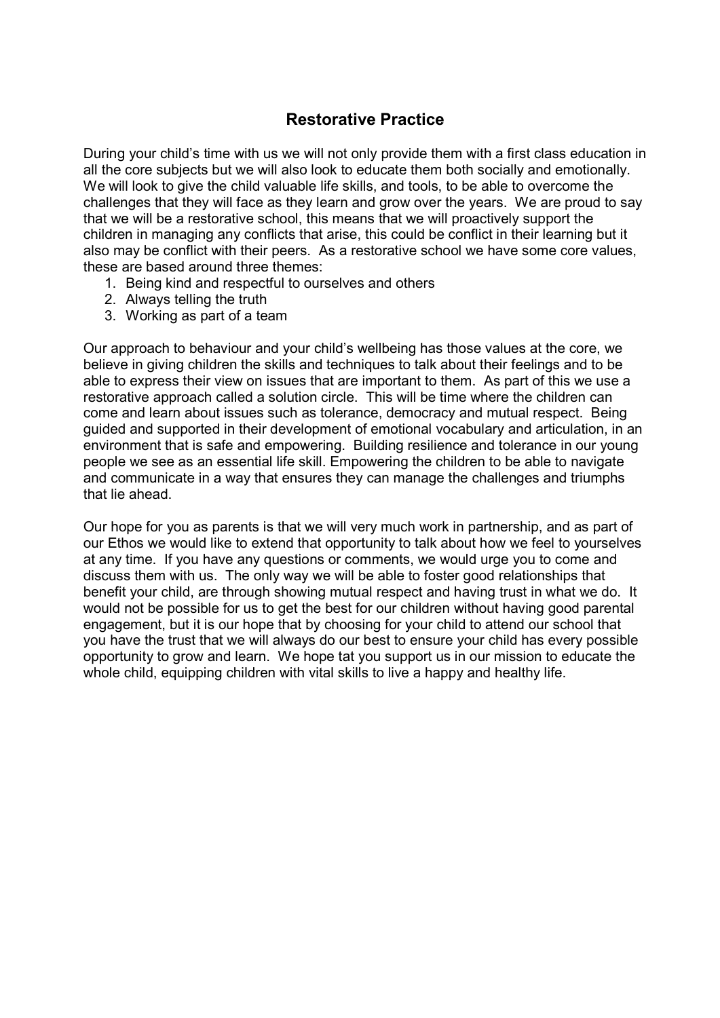### Restorative Practice

During your child's time with us we will not only provide them with a first class education in all the core subjects but we will also look to educate them both socially and emotionally. We will look to give the child valuable life skills, and tools, to be able to overcome the challenges that they will face as they learn and grow over the years. We are proud to say that we will be a restorative school, this means that we will proactively support the children in managing any conflicts that arise, this could be conflict in their learning but it also may be conflict with their peers. As a restorative school we have some core values, these are based around three themes:

- 1. Being kind and respectful to ourselves and others
- 2. Always telling the truth
- 3. Working as part of a team

Our approach to behaviour and your child's wellbeing has those values at the core, we believe in giving children the skills and techniques to talk about their feelings and to be able to express their view on issues that are important to them. As part of this we use a restorative approach called a solution circle. This will be time where the children can come and learn about issues such as tolerance, democracy and mutual respect. Being guided and supported in their development of emotional vocabulary and articulation, in an environment that is safe and empowering. Building resilience and tolerance in our young people we see as an essential life skill. Empowering the children to be able to navigate and communicate in a way that ensures they can manage the challenges and triumphs that lie ahead.

Our hope for you as parents is that we will very much work in partnership, and as part of our Ethos we would like to extend that opportunity to talk about how we feel to yourselves at any time. If you have any questions or comments, we would urge you to come and discuss them with us. The only way we will be able to foster good relationships that benefit your child, are through showing mutual respect and having trust in what we do. It would not be possible for us to get the best for our children without having good parental engagement, but it is our hope that by choosing for your child to attend our school that you have the trust that we will always do our best to ensure your child has every possible opportunity to grow and learn. We hope tat you support us in our mission to educate the whole child, equipping children with vital skills to live a happy and healthy life.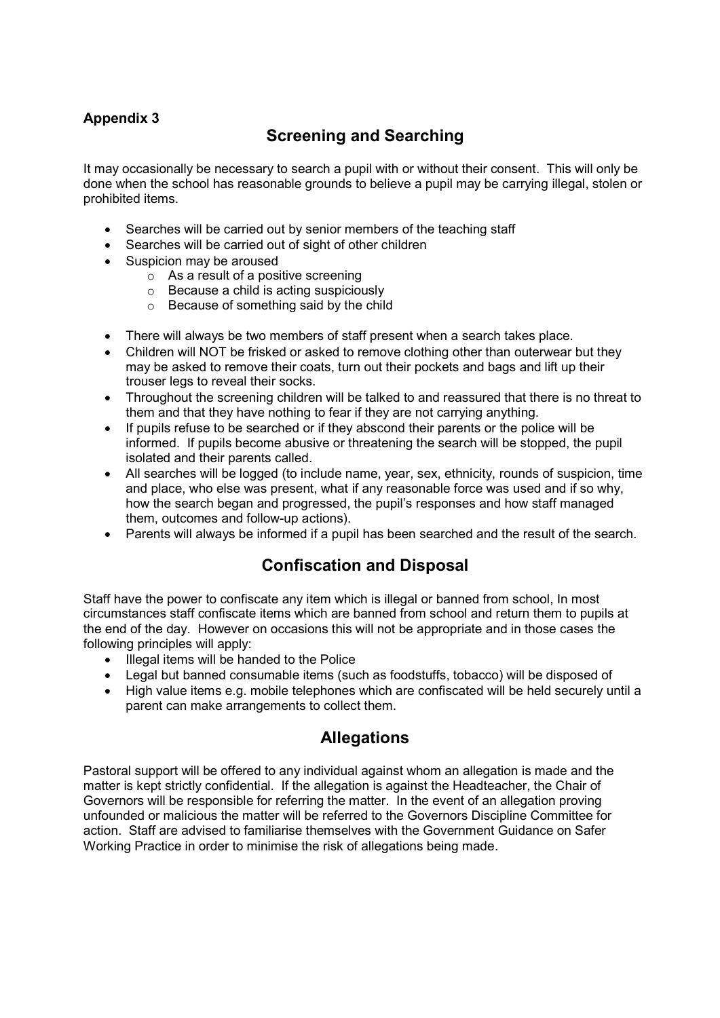### Appendix 3

# Screening and Searching

It may occasionally be necessary to search a pupil with or without their consent. This will only be done when the school has reasonable grounds to believe a pupil may be carrying illegal, stolen or prohibited items.

- Searches will be carried out by senior members of the teaching staff
- Searches will be carried out of sight of other children
- Suspicion may be aroused
	- $\circ$  As a result of a positive screening
	- o Because a child is acting suspiciously
	- o Because of something said by the child
- There will always be two members of staff present when a search takes place.
- Children will NOT be frisked or asked to remove clothing other than outerwear but they may be asked to remove their coats, turn out their pockets and bags and lift up their trouser legs to reveal their socks.
- Throughout the screening children will be talked to and reassured that there is no threat to them and that they have nothing to fear if they are not carrying anything.
- If pupils refuse to be searched or if they abscond their parents or the police will be informed. If pupils become abusive or threatening the search will be stopped, the pupil isolated and their parents called.
- All searches will be logged (to include name, year, sex, ethnicity, rounds of suspicion, time and place, who else was present, what if any reasonable force was used and if so why, how the search began and progressed, the pupil's responses and how staff managed them, outcomes and follow-up actions).
- Parents will always be informed if a pupil has been searched and the result of the search.

## Confiscation and Disposal

Staff have the power to confiscate any item which is illegal or banned from school, In most circumstances staff confiscate items which are banned from school and return them to pupils at the end of the day. However on occasions this will not be appropriate and in those cases the following principles will apply:

- Illegal items will be handed to the Police
- Legal but banned consumable items (such as foodstuffs, tobacco) will be disposed of
- High value items e.g. mobile telephones which are confiscated will be held securely until a parent can make arrangements to collect them.

## **Allegations**

Pastoral support will be offered to any individual against whom an allegation is made and the matter is kept strictly confidential. If the allegation is against the Headteacher, the Chair of Governors will be responsible for referring the matter. In the event of an allegation proving unfounded or malicious the matter will be referred to the Governors Discipline Committee for action. Staff are advised to familiarise themselves with the Government Guidance on Safer Working Practice in order to minimise the risk of allegations being made.